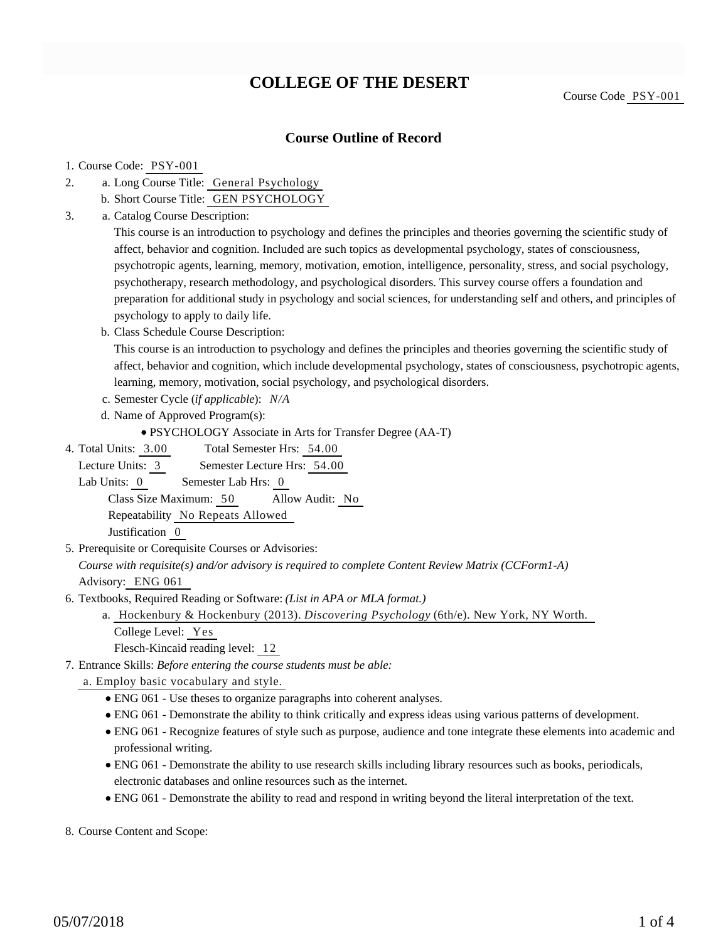# **COLLEGE OF THE DESERT**

## **Course Outline of Record**

#### 1. Course Code: PSY-001

- a. Long Course Title: General Psychology 2.
	- b. Short Course Title: GEN PSYCHOLOGY
- Catalog Course Description: a. 3.

This course is an introduction to psychology and defines the principles and theories governing the scientific study of affect, behavior and cognition. Included are such topics as developmental psychology, states of consciousness, psychotropic agents, learning, memory, motivation, emotion, intelligence, personality, stress, and social psychology, psychotherapy, research methodology, and psychological disorders. This survey course offers a foundation and preparation for additional study in psychology and social sciences, for understanding self and others, and principles of psychology to apply to daily life.

b. Class Schedule Course Description:

This course is an introduction to psychology and defines the principles and theories governing the scientific study of affect, behavior and cognition, which include developmental psychology, states of consciousness, psychotropic agents, learning, memory, motivation, social psychology, and psychological disorders.

- c. Semester Cycle (*if applicable*): *N/A*
- d. Name of Approved Program(s):

PSYCHOLOGY Associate in Arts for Transfer Degree (AA-T)

Total Semester Hrs: 54.00 4. Total Units: 3.00

Lecture Units: 3 Semester Lecture Hrs: 54.00

Lab Units: 0 Semester Lab Hrs: 0

Class Size Maximum: 50 Allow Audit: No

Repeatability No Repeats Allowed

Justification 0

5. Prerequisite or Corequisite Courses or Advisories:

*Course with requisite(s) and/or advisory is required to complete Content Review Matrix (CCForm1-A)* Advisory: ENG 061

- 6. Textbooks, Required Reading or Software: (List in APA or MLA format.)
	- a. Hockenbury & Hockenbury (2013). *Discovering Psychology* (6th/e). New York, NY Worth. College Level: Yes
		- Flesch-Kincaid reading level: 12
- Entrance Skills: *Before entering the course students must be able:* 7.
	- a. Employ basic vocabulary and style.
		- ENG 061 Use theses to organize paragraphs into coherent analyses.
		- ENG 061 Demonstrate the ability to think critically and express ideas using various patterns of development.
		- ENG 061 Recognize features of style such as purpose, audience and tone integrate these elements into academic and professional writing.
		- ENG 061 Demonstrate the ability to use research skills including library resources such as books, periodicals, electronic databases and online resources such as the internet.
		- ENG 061 Demonstrate the ability to read and respond in writing beyond the literal interpretation of the text.

8. Course Content and Scope: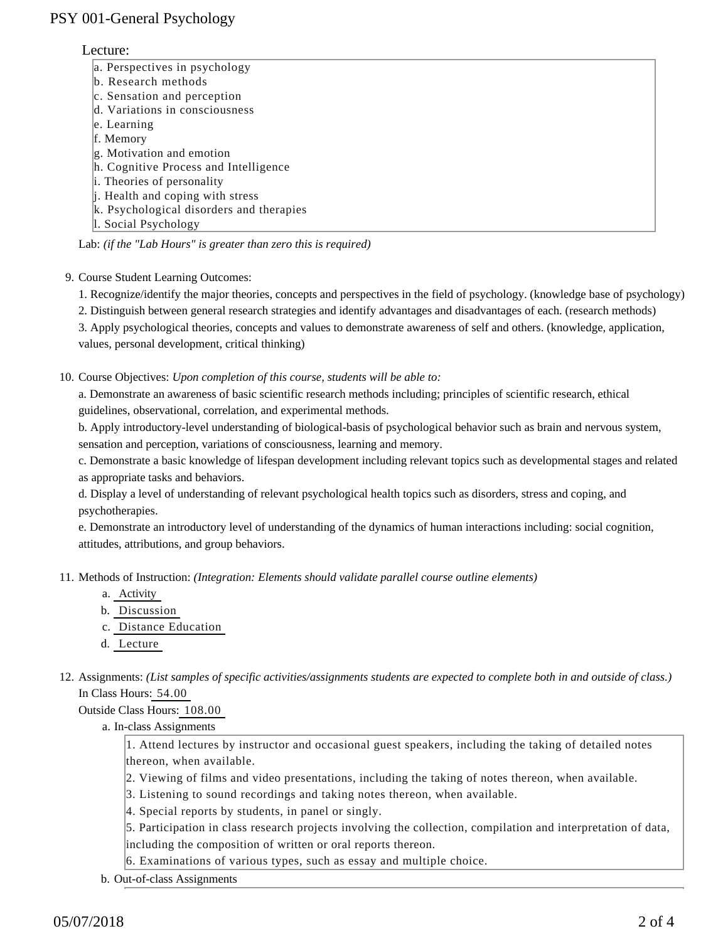## PSY 001-General Psychology

### Lecture:

- a. Perspectives in psychology
- b. Research methods
- c. Sensation and perception
- d. Variations in consciousness
- e. Learning
- f. Memory
- g. Motivation and emotion
- h. Cognitive Process and Intelligence
- i. Theories of personality
- j. Health and coping with stress
- k. Psychological disorders and therapies
- l. Social Psychology

Lab: *(if the "Lab Hours" is greater than zero this is required)*

9. Course Student Learning Outcomes:

1. Recognize/identify the major theories, concepts and perspectives in the field of psychology. (knowledge base of psychology)

2. Distinguish between general research strategies and identify advantages and disadvantages of each. (research methods)

3. Apply psychological theories, concepts and values to demonstrate awareness of self and others. (knowledge, application, values, personal development, critical thinking)

10. Course Objectives: Upon completion of this course, students will be able to:

a. Demonstrate an awareness of basic scientific research methods including; principles of scientific research, ethical guidelines, observational, correlation, and experimental methods.

b. Apply introductory-level understanding of biological-basis of psychological behavior such as brain and nervous system, sensation and perception, variations of consciousness, learning and memory.

c. Demonstrate a basic knowledge of lifespan development including relevant topics such as developmental stages and related as appropriate tasks and behaviors.

d. Display a level of understanding of relevant psychological health topics such as disorders, stress and coping, and psychotherapies.

e. Demonstrate an introductory level of understanding of the dynamics of human interactions including: social cognition, attitudes, attributions, and group behaviors.

11. Methods of Instruction: *(Integration: Elements should validate parallel course outline elements)* 

- a. Activity
- b. Discussion
- c. Distance Education
- d. Lecture

12. Assignments: (List samples of specific activities/assignments students are expected to complete both in and outside of class.) In Class Hours: 54.00

Outside Class Hours: 108.00

a. In-class Assignments

1. Attend lectures by instructor and occasional guest speakers, including the taking of detailed notes thereon, when available.

- 2. Viewing of films and video presentations, including the taking of notes thereon, when available.
- 3. Listening to sound recordings and taking notes thereon, when available.
- 4. Special reports by students, in panel or singly.

5. Participation in class research projects involving the collection, compilation and interpretation of data, including the composition of written or oral reports thereon.

6. Examinations of various types, such as essay and multiple choice.

b. Out-of-class Assignments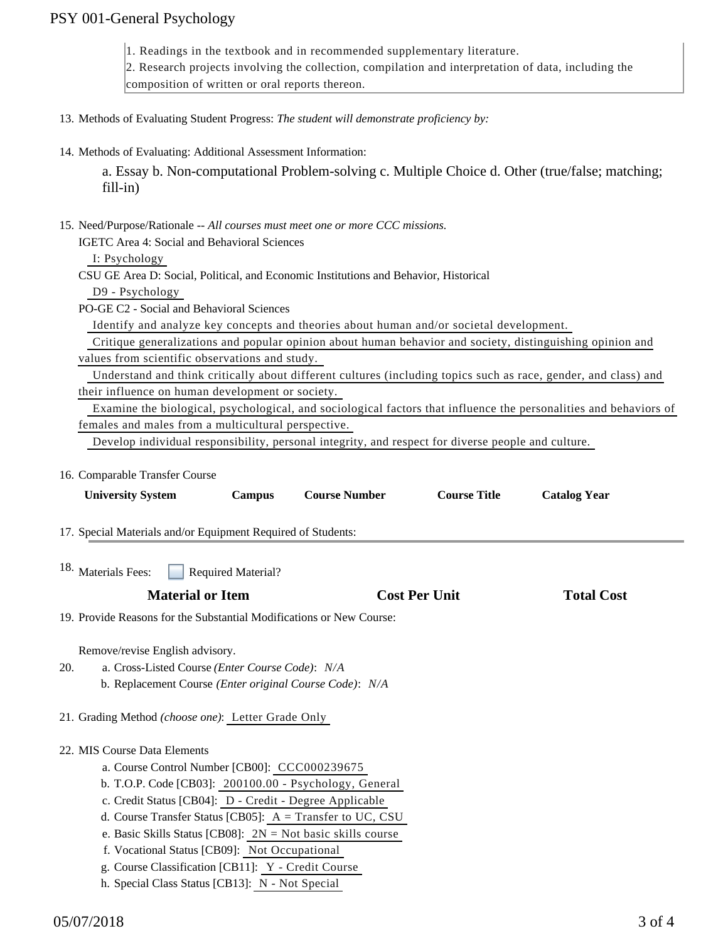## PSY 001-General Psychology

1. Readings in the textbook and in recommended supplementary literature.

2. Research projects involving the collection, compilation and interpretation of data, including the

composition of written or oral reports thereon.

- 13. Methods of Evaluating Student Progress: *The student will demonstrate proficiency by:*
- 14. Methods of Evaluating: Additional Assessment Information:

a. Essay b. Non-computational Problem-solving c. Multiple Choice d. Other (true/false; matching; fill-in)

15. Need/Purpose/Rationale -- All courses must meet one or more CCC missions.

IGETC Area 4: Social and Behavioral Sciences

I: Psychology

CSU GE Area D: Social, Political, and Economic Institutions and Behavior, Historical

D9 - Psychology

PO-GE C2 - Social and Behavioral Sciences

Identify and analyze key concepts and theories about human and/or societal development.

 Critique generalizations and popular opinion about human behavior and society, distinguishing opinion and values from scientific observations and study.

 Understand and think critically about different cultures (including topics such as race, gender, and class) and their influence on human development or society.

 Examine the biological, psychological, and sociological factors that influence the personalities and behaviors of females and males from a multicultural perspective.

Develop individual responsibility, personal integrity, and respect for diverse people and culture.

16. Comparable Transfer Course

| <b>University System</b>                                                                                                                                                                                   | <b>Campus</b>             | <b>Course Number</b> | <b>Course Title</b>  | <b>Catalog Year</b> |  |
|------------------------------------------------------------------------------------------------------------------------------------------------------------------------------------------------------------|---------------------------|----------------------|----------------------|---------------------|--|
| 17. Special Materials and/or Equipment Required of Students:                                                                                                                                               |                           |                      |                      |                     |  |
| 18. Materials Fees:                                                                                                                                                                                        | <b>Required Material?</b> |                      |                      |                     |  |
| <b>Material or Item</b>                                                                                                                                                                                    |                           |                      | <b>Cost Per Unit</b> | <b>Total Cost</b>   |  |
| 19. Provide Reasons for the Substantial Modifications or New Course:                                                                                                                                       |                           |                      |                      |                     |  |
| Remove/revise English advisory.<br>a. Cross-Listed Course (Enter Course Code): N/A<br>20.<br>b. Replacement Course (Enter original Course Code): N/A<br>21. Grading Method (choose one): Letter Grade Only |                           |                      |                      |                     |  |
| 22. MIS Course Data Elements<br>a. Course Control Number [CB00]: CCC000239675                                                                                                                              |                           |                      |                      |                     |  |
| b. T.O.P. Code [CB03]: 200100.00 - Psychology, General<br>c. Credit Status [CB04]: D - Credit - Degree Applicable<br>d. Course Transfer Status [CB05]: $A = Transfer to UC, CSU$                           |                           |                      |                      |                     |  |
| e. Basic Skills Status [CB08]: $2N = Not basic skills course$<br>f. Vocational Status [CB09]: Not Occupational<br>g. Course Classification [CB11]: Y - Credit Course                                       |                           |                      |                      |                     |  |
| h. Special Class Status [CB13]: N - Not Special                                                                                                                                                            |                           |                      |                      |                     |  |